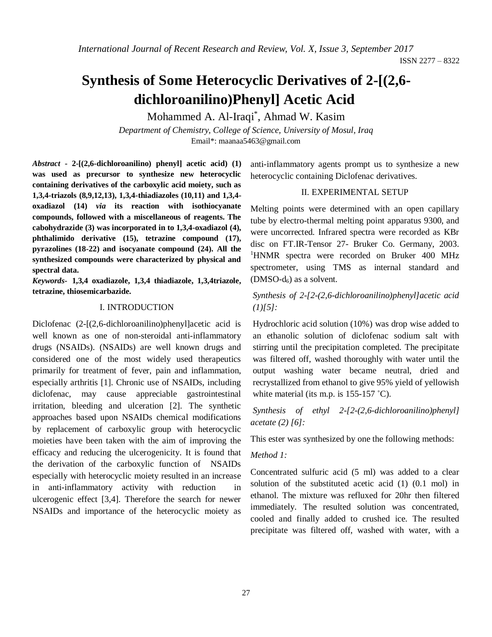ISSN 2277 – 8322

# **Synthesis of Some Heterocyclic Derivatives of 2-[(2,6 dichloroanilino)Phenyl] Acetic Acid**

Mohammed A. Al-Iraqi\* , Ahmad W. Kasim

*Department of Chemistry, College of Science, University of Mosul, Iraq* Email\*: [maanaa5463@gmail.com](mailto:maanaa5463@gmail.com)

*Abstract* **- 2-[(2,6-dichloroanilino) phenyl] acetic acid) (1) was used as precursor to synthesize new heterocyclic containing derivatives of the carboxylic acid moiety, such as 1,3,4-triazols (8,9,12,13), 1,3,4-thiadiazoles (10,11) and 1,3,4 oxadiazol (14)** *via* **its reaction with isothiocyanate compounds, followed with a miscellaneous of reagents. The cabohydrazide (3) was incorporated in to 1,3,4-oxadiazol (4), phthalimido derivative (15), tetrazine compound (17), pyrazolines (18-22) and isocyanate compound (24). All the synthesized compounds were characterized by physical and spectral data.**

*Keywords***- 1,3,4 oxadiazole, 1,3,4 thiadiazole, 1,3,4triazole, tetrazine, thiosemicarbazide.**

#### I. INTRODUCTION

Diclofenac (2-[(2,6-dichloroanilino)phenyl]acetic acid is well known as one of non-steroidal anti-inflammatory drugs (NSAIDs). (NSAIDs) are well known drugs and considered one of the most widely used therapeutics primarily for treatment of fever, pain and inflammation, especially arthritis [1]. Chronic use of NSAIDs, including diclofenac, may cause appreciable gastrointestinal irritation, bleeding and ulceration [2]. The synthetic approaches based upon NSAIDs chemical modifications by replacement of carboxylic group with heterocyclic moieties have been taken with the aim of improving the efficacy and reducing the ulcerogenicity. It is found that the derivation of the carboxylic function of NSAIDs especially with heterocyclic moiety resulted in an increase in anti-inflammatory activity with reduction in ulcerogenic effect [3,4]. Therefore the search for newer NSAIDs and importance of the heterocyclic moiety as

anti-inflammatory agents prompt us to synthesize a new heterocyclic containing Diclofenac derivatives.

#### II. EXPERIMENTAL SETUP

Melting points were determined with an open capillary tube by electro-thermal melting point apparatus 9300, and were uncorrected. Infrared spectra were recorded as KBr disc on FT.IR-Tensor 27- Bruker Co. Germany, 2003. <sup>1</sup>HNMR spectra were recorded on Bruker 400 MHz spectrometer, using TMS as internal standard and  $(DMSO-d_6)$  as a solvent.

#### *Synthesis of 2-[2-(2,6-dichloroanilino)phenyl]acetic acid (1)[5]:*

Hydrochloric acid solution (10%) was drop wise added to an ethanolic solution of diclofenac sodium salt with stirring until the precipitation completed. The precipitate was filtered off, washed thoroughly with water until the output washing water became neutral, dried and recrystallized from ethanol to give 95% yield of yellowish white material (its m.p. is 155-157 °C).

*Synthesis of ethyl 2-[2-(2,6-dichloroanilino)phenyl] acetate (2) [6]:*

This ester was synthesized by one the following methods:

#### *Method 1:*

Concentrated sulfuric acid (5 ml) was added to a clear solution of the substituted acetic acid (1) (0.1 mol) in ethanol. The mixture was refluxed for 20hr then filtered immediately. The resulted solution was concentrated, cooled and finally added to crushed ice. The resulted precipitate was filtered off, washed with water, with a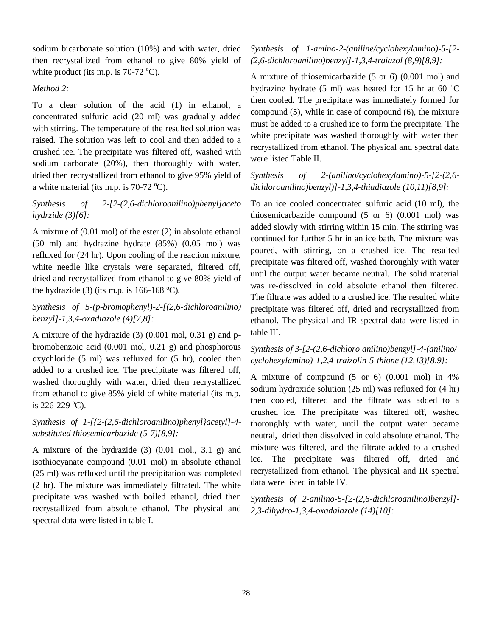sodium bicarbonate solution (10%) and with water, dried then recrystallized from ethanol to give 80% yield of white product (its m.p. is  $70-72$  °C).

#### *Method 2:*

To a clear solution of the acid (1) in ethanol, a concentrated sulfuric acid (20 ml) was gradually added with stirring. The temperature of the resulted solution was raised. The solution was left to cool and then added to a crushed ice. The precipitate was filtered off, washed with sodium carbonate (20%), then thoroughly with water, dried then recrystallized from ethanol to give 95% yield of a white material (its m.p. is  $70-72$  °C).

*Synthesis of 2-[2-(2,6-dichloroanilino)phenyl]aceto hydrzide (3)[6]:*

A mixture of (0.01 mol) of the ester (2) in absolute ethanol (50 ml) and hydrazine hydrate (85%) (0.05 mol) was refluxed for (24 hr). Upon cooling of the reaction mixture, white needle like crystals were separated, filtered off, dried and recrystallized from ethanol to give 80% yield of the hydrazide (3) (its m.p. is  $166-168$  °C).

*Synthesis of 5-(p-bromophenyl)-2-[(2,6-dichloroanilino) benzyl]-1,3,4-oxadiazole (4)[7,8]:*

A mixture of the hydrazide (3) (0.001 mol, 0.31 g) and pbromobenzoic acid (0.001 mol, 0.21 g) and phosphorous oxychloride (5 ml) was refluxed for (5 hr), cooled then added to a crushed ice. The precipitate was filtered off, washed thoroughly with water, dried then recrystallized from ethanol to give 85% yield of white material (its m.p. is  $226-229$  °C).

#### *Synthesis of 1-[{2-(2,6-dichloroanilino)phenyl}acetyl]-4 substituted thiosemicarbazide (5-7)[8,9]:*

A mixture of the hydrazide (3) (0.01 mol., 3.1 g) and isothiocyanate compound (0.01 mol) in absolute ethanol (25 ml) was refluxed until the precipitation was completed (2 hr). The mixture was immediately filtrated. The white precipitate was washed with boiled ethanol, dried then recrystallized from absolute ethanol. The physical and spectral data were listed in table I.

## *Synthesis of 1-amino-2-(aniline/cyclohexylamino)-5-[2- (2,6-dichloroanilino)benzyl]-1,3,4-traiazol (8,9)[8,9]:*

A mixture of thiosemicarbazide (5 or 6) (0.001 mol) and hydrazine hydrate (5 ml) was heated for 15 hr at 60  $^{\circ}$ C then cooled. The precipitate was immediately formed for compound (5), while in case of compound (6), the mixture must be added to a crushed ice to form the precipitate. The white precipitate was washed thoroughly with water then recrystallized from ethanol. The physical and spectral data were listed Table II.

*Synthesis of 2-(anilino/cyclohexylamino)-5-[2-(2,6 dichloroanilino)benzyl)]-1,3,4-thiadiazole (10,11)[8,9]:*

To an ice cooled concentrated sulfuric acid (10 ml), the thiosemicarbazide compound (5 or 6) (0.001 mol) was added slowly with stirring within 15 min. The stirring was continued for further 5 hr in an ice bath. The mixture was poured, with stirring, on a crushed ice. The resulted precipitate was filtered off, washed thoroughly with water until the output water became neutral. The solid material was re-dissolved in cold absolute ethanol then filtered. The filtrate was added to a crushed ice. The resulted white precipitate was filtered off, dried and recrystallized from ethanol. The physical and IR spectral data were listed in table III.

#### *Synthesis of 3-[2-(2,6-dichloro anilino)benzyl]-4-(anilino/ cyclohexylamino)-1,2,4-traizolin-5-thione (12,13)[8,9]:*

A mixture of compound (5 or 6) (0.001 mol) in 4% sodium hydroxide solution (25 ml) was refluxed for (4 hr) then cooled, filtered and the filtrate was added to a crushed ice. The precipitate was filtered off, washed thoroughly with water, until the output water became neutral, dried then dissolved in cold absolute ethanol. The mixture was filtered, and the filtrate added to a crushed ice. The precipitate was filtered off, dried and recrystallized from ethanol. The physical and IR spectral data were listed in table IV.

*Synthesis of 2-anilino-5-[2-(2,6-dichloroanilino)benzyl]- 2,3-dihydro-1,3,4-oxadaiazole (14)[10]:*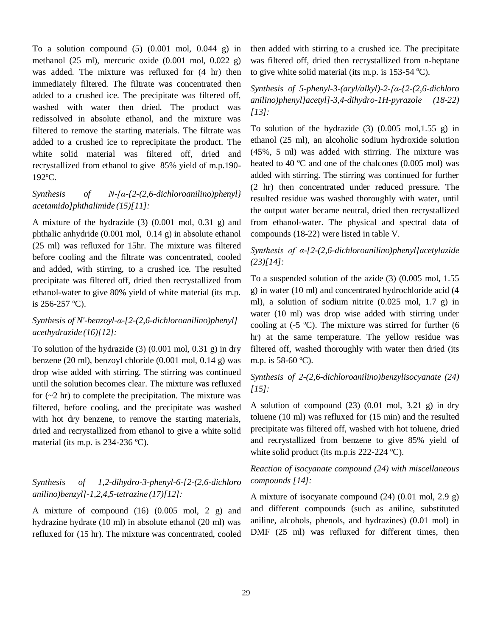To a solution compound  $(5)$   $(0.001$  mol,  $0.044$  g) in methanol (25 ml), mercuric oxide (0.001 mol, 0.022 g) was added. The mixture was refluxed for (4 hr) then immediately filtered. The filtrate was concentrated then added to a crushed ice. The precipitate was filtered off, washed with water then dried. The product was redissolved in absolute ethanol, and the mixture was filtered to remove the starting materials. The filtrate was added to a crushed ice to reprecipitate the product. The white solid material was filtered off, dried and recrystallized from ethanol to give 85% yield of m.p.190- 192°C.

## *Synthesis of N-[α-{2-(2,6-dichloroanilino)phenyl} acetamido]phthalimide (15)[11]:*

A mixture of the hydrazide (3) (0.001 mol, 0.31 g) and phthalic anhydride (0.001 mol, 0.14 g) in absolute ethanol (25 ml) was refluxed for 15hr. The mixture was filtered before cooling and the filtrate was concentrated, cooled and added, with stirring, to a crushed ice. The resulted precipitate was filtered off, dried then recrystallized from ethanol-water to give 80% yield of white material (its m.p. is  $256-257$  °C).

## *Synthesis of N'-benzoyl-α-[2-(2,6-dichloroanilino)phenyl] acethydrazide (16)[12]:*

To solution of the hydrazide (3) (0.001 mol, 0.31 g) in dry benzene (20 ml), benzoyl chloride (0.001 mol, 0.14 g) was drop wise added with stirring. The stirring was continued until the solution becomes clear. The mixture was refluxed for  $(-2 \text{ hr})$  to complete the precipitation. The mixture was filtered, before cooling, and the precipitate was washed with hot dry benzene, to remove the starting materials, dried and recrystallized from ethanol to give a white solid material (its m.p. is  $234-236$  °C).

## *Synthesis of 1,2-dihydro-3-phenyl-6-[2-(2,6-dichloro anilino)benzyl]-1,2,4,5-tetrazine (17)[12]:*

A mixture of compound  $(16)$   $(0.005 \text{ mol}, 2 \text{ g})$  and hydrazine hydrate (10 ml) in absolute ethanol (20 ml) was refluxed for (15 hr). The mixture was concentrated, cooled then added with stirring to a crushed ice. The precipitate was filtered off, dried then recrystallized from n-heptane to give white solid material (its m.p. is  $153-54$  °C).

*Synthesis of 5-phenyl-3-(aryl/alkyl)-2-[α-{2-(2,6-dichloro anilino)phenyl}acetyl]-3,4-dihydro-1H-pyrazole (18-22) [13]:*

To solution of the hydrazide  $(3)$   $(0.005 \text{ mol}, 1.55 \text{ g})$  in ethanol (25 ml), an alcoholic sodium hydroxide solution (45%, 5 ml) was added with stirring. The mixture was heated to 40  $^{\circ}$ C and one of the chalcones (0.005 mol) was added with stirring. The stirring was continued for further (2 hr) then concentrated under reduced pressure. The resulted residue was washed thoroughly with water, until the output water became neutral, dried then recrystallized from ethanol-water. The physical and spectral data of compounds (18-22) were listed in table V.

## *Synthesis of α-[2-(2,6-dichloroanilino)phenyl]acetylazide (23)[14]:*

To a suspended solution of the azide (3) (0.005 mol, 1.55 g) in water (10 ml) and concentrated hydrochloride acid (4 ml), a solution of sodium nitrite (0.025 mol, 1.7 g) in water (10 ml) was drop wise added with stirring under cooling at  $(-5 \degree C)$ . The mixture was stirred for further  $(6 \degree C)$ hr) at the same temperature. The yellow residue was filtered off, washed thoroughly with water then dried (its m.p. is  $58-60$  °C).

#### *Synthesis of 2-(2,6-dichloroanilino)benzylisocyanate (24) [15]:*

A solution of compound  $(23)$   $(0.01 \text{ mol}, 3.21 \text{ g})$  in dry toluene (10 ml) was refluxed for (15 min) and the resulted precipitate was filtered off, washed with hot toluene, dried and recrystallized from benzene to give 85% yield of white solid product (its m.p. is  $222-224$  °C).

## *Reaction of isocyanate compound (24) with miscellaneous compounds [14]:*

A mixture of isocyanate compound  $(24)$   $(0.01$  mol,  $2.9$  g) and different compounds (such as aniline, substituted aniline, alcohols, phenols, and hydrazines) (0.01 mol) in DMF (25 ml) was refluxed for different times, then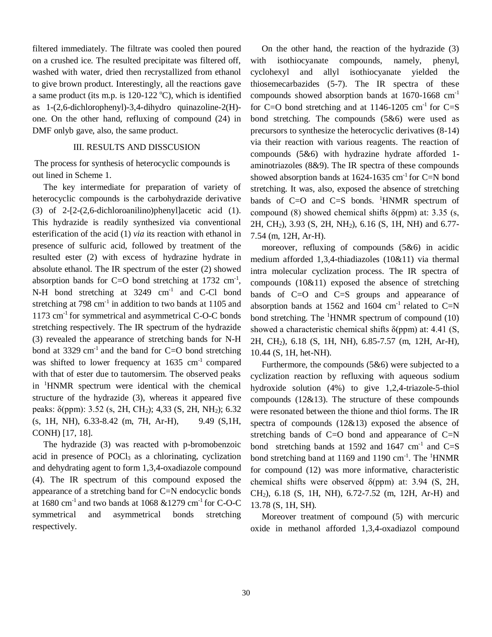filtered immediately. The filtrate was cooled then poured on a crushed ice. The resulted precipitate was filtered off, washed with water, dried then recrystallized from ethanol to give brown product. Interestingly, all the reactions gave a same product (its m.p. is  $120-122$  °C), which is identified as 1-(2,6-dichlorophenyl)-3,4-dihydro quinazoline-2(H) one. On the other hand, refluxing of compound (24) in DMF onlyb gave, also, the same product.

#### III. RESULTS AND DISSCUSION

The process for synthesis of heterocyclic compounds is out lined in Scheme 1.

 The key intermediate for preparation of variety of heterocyclic compounds is the carbohydrazide derivative (3) of 2-[2-(2,6-dichloroanilino)phenyl]acetic acid (1). This hydrazide is readily synthesized via conventional esterification of the acid (1) *via* its reaction with ethanol in presence of sulfuric acid, followed by treatment of the resulted ester (2) with excess of hydrazine hydrate in absolute ethanol. The IR spectrum of the ester (2) showed absorption bands for C=O bond stretching at  $1732 \text{ cm}^{-1}$ , N-H bond stretching at 3249 cm<sup>-1</sup> and C-Cl bond stretching at  $798 \text{ cm}^{-1}$  in addition to two bands at  $1105$  and  $1173$  cm<sup>-1</sup> for symmetrical and asymmetrical C-O-C bonds stretching respectively. The IR spectrum of the hydrazide (3) revealed the appearance of stretching bands for N-H bond at 3329 cm<sup>-1</sup> and the band for  $C=O$  bond stretching was shifted to lower frequency at  $1635 \text{ cm}^{-1}$  compared with that of ester due to tautomersim. The observed peaks in <sup>1</sup>HNMR spectrum were identical with the chemical structure of the hydrazide (3), whereas it appeared five peaks: δ(ppm): 3.52 (s, 2H, CH2); 4,33 (S, 2H, NH2); 6.32 (s, 1H, NH), 6.33-8.42 (m, 7H, Ar-H), 9.49 (S,1H, CONH) [17, 18].

 The hydrazide (3) was reacted with p-bromobenzoic acid in presence of POCl<sub>3</sub> as a chlorinating, cyclization and dehydrating agent to form 1,3,4-oxadiazole compound (4). The IR spectrum of this compound exposed the appearance of a stretching band for C=N endocyclic bonds at 1680 cm<sup>-1</sup> and two bands at 1068  $&$  1279 cm<sup>-1</sup> for C-O-C symmetrical and asymmetrical bonds stretching respectively.

 On the other hand, the reaction of the hydrazide (3) with isothiocyanate compounds, namely, phenyl, cyclohexyl and allyl isothiocyanate yielded the thiosemecarbazides (5-7). The IR spectra of these compounds showed absorption bands at 1670-1668 cm-1 for C=O bond stretching and at  $1146-1205$  cm<sup>-1</sup> for C=S bond stretching. The compounds (5&6) were used as precursors to synthesize the heterocyclic derivatives (8-14) via their reaction with various reagents. The reaction of compounds (5&6) with hydrazine hydrate afforded 1 aminotriazoles (8&9). The IR spectra of these compounds showed absorption bands at  $1624-1635$  cm<sup>-1</sup> for C=N bond stretching. It was, also, exposed the absence of stretching bands of  $C=O$  and  $C=S$  bonds. <sup>1</sup>HNMR spectrum of compound (8) showed chemical shifts  $\delta$ (ppm) at: 3.35 (s, 2H, CH2), 3.93 (S, 2H, NH2), 6.16 (S, 1H, NH) and 6.77- 7.54 (m, 12H, Ar-H).

 moreover, refluxing of compounds (5&6) in acidic medium afforded 1,3,4-thiadiazoles (10&11) via thermal intra molecular cyclization process. The IR spectra of compounds (10&11) exposed the absence of stretching bands of C=O and C=S groups and appearance of absorption bands at 1562 and 1604  $\text{cm}^{-1}$  related to C=N bond stretching. The  ${}^{1}$ HNMR spectrum of compound (10) showed a characteristic chemical shifts  $\delta$ (ppm) at: 4.41 (S, 2H, CH2), 6.18 (S, 1H, NH), 6.85-7.57 (m, 12H, Ar-H), 10.44 (S, 1H, het-NH).

 Furthermore, the compounds (5&6) were subjected to a cyclization reaction by refluxing with aqueous sodium hydroxide solution (4%) to give 1,2,4-triazole-5-thiol compounds (12&13). The structure of these compounds were resonated between the thione and thiol forms. The IR spectra of compounds (12&13) exposed the absence of stretching bands of  $C=O$  bond and appearance of  $C=N$ bond stretching bands at 1592 and  $1647 \text{ cm}^{-1}$  and  $C=S$ bond stretching band at 1169 and 1190 cm<sup>-1</sup>. The <sup>1</sup>HNMR for compound (12) was more informative, characteristic chemical shifts were observed  $\delta$ (ppm) at: 3.94 (S, 2H, CH2), 6.18 (S, 1H, NH), 6.72-7.52 (m, 12H, Ar-H) and 13.78 (S, 1H, SH).

 Moreover treatment of compound (5) with mercuric oxide in methanol afforded 1,3,4-oxadiazol compound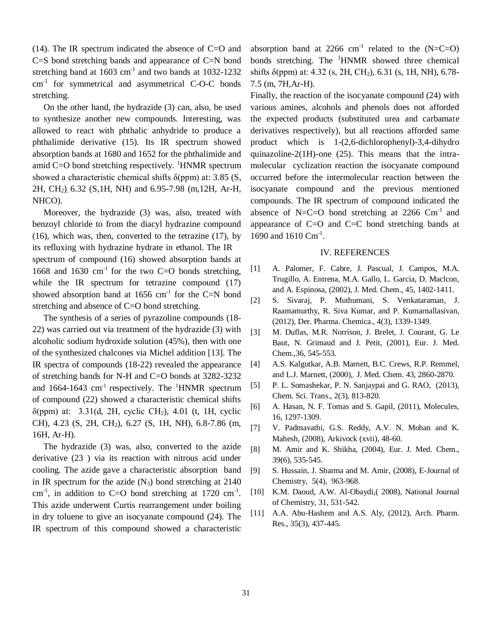(14). The IR spectrum indicated the absence of  $C=O$  and C=S bond stretching bands and appearance of C=N bond stretching band at  $1603 \text{ cm}^{-1}$  and two bands at  $1032 - 1232$ cm-1 for symmetrical and asymmetrical C-O-C bonds stretching.

 On the other hand, the hydrazide (3) can, also, be used to synthesize another new compounds. Interesting, was allowed to react with phthalic anhydride to produce a phthalimide derivative (15). Its IR spectrum showed absorption bands at 1680 and 1652 for the phthalimide and amid C=O bond stretching respectively.  ${}^{1}$ HNMR spectrum showed a characteristic chemical shifts  $\delta$ (ppm) at: 3.85 (S, 2H, CH2), 6.32 (S,1H, NH) and 6.95-7.98 (m,12H, Ar-H, NHCO).

 Moreover, the hydrazide (3) was, also, treated with benzoyl chloride to from the diacyl hydrazine compound (16), which was, then, converted to the tetrazine (17), by its refluxing with hydrazine hydrate in ethanol. The IR spectrum of compound (16) showed absorption bands at 1668 and 1630 cm<sup>-1</sup> for the two C=O bonds stretching, while the IR spectrum for tetrazine compound  $(17)$ showed absorption band at  $1656 \text{ cm}^{-1}$  for the C=N bond stretching and absence of C=O bond stretching.

 The synthesis of a series of pyrazoline compounds (18- 22) was carried out via treatment of the hydrazide (3) with alcoholic sodium hydroxide solution (45%), then with one of the synthesized chalcones via Michel addition [13]. The IR spectra of compounds (18-22) revealed the appearance of stretching bands for N-H and C=O bonds at 3282-3232 and 1664-1643 cm<sup>-1</sup> respectively. The <sup>1</sup>HNMR spectrum of compound (22) showed a characteristic chemical shifts  $\delta$ (ppm) at: 3.31(d, 2H, cyclic CH<sub>2</sub>), 4.01 (t, 1H, cyclic CH), 4.23 (S, 2H, CH2), 6.27 (S, 1H, NH), 6.8-7.86 (m, 16H, Ar-H).

 The hydrazide (3) was, also, converted to the azide derivative (23 ) via its reaction with nitrous acid under cooling. The azide gave a characteristic absorption band in IR spectrum for the azide  $(N_3)$  bond stretching at 2140 cm<sup>-1</sup>, in addition to C=O bond stretching at 1720 cm<sup>-1</sup>. This azide underwent Curtis rearrangement under boiling in dry toluene to give an isocyanate compound (24). The IR spectrum of this compound showed a characteristic

absorption band at 2266  $cm^{-1}$  related to the (N=C=O) bonds stretching. The <sup>1</sup>HNMR showed three chemical shifts  $\delta$ (ppm) at: 4.32 (s, 2H, CH<sub>2</sub>), 6.31 (s, 1H, NH), 6.78-7.5 (m, 7H,Ar-H).

Finally, the reaction of the isocyanate compound (24) with various amines, alcohols and phenols does not afforded the expected products (substituted urea and carbamate derivatives respectively), but all reactions afforded same product which is 1-(2,6-dichlorophenyl)-3,4-dihydro quinazoline-2(1H)-one (25). This means that the intramolecular cyclization reaction the isocyanate compound occurred before the intermolecular reaction between the isocyanate compound and the previous mentioned compounds. The IR spectrum of compound indicated the absence of N=C=O bond stretching at  $2266$  Cm<sup>-1</sup> and appearance of C=O and C=C bond stretching bands at 1690 and 1610 Cm<sup>-1</sup>.

#### IV. REFERENCES

- [1] A. Palomer, F. Cabre, J. Pascual, J. Campos, M.A. Trugillo, A. Entrena, M.A. Gallo, L. Garcia, D. Maclcon, and A. Espinosa, (2002), J. Med. Chem., 45, 1402-1411.
- [2] S. Sivaraj, P. Muthumani, S. Venkataraman, J. Raamamurthy, R. Siva Kumar, and P. Kumarnallasivan, (2012), Der. Pharma. Chemica., 4(3), 1339-1349.
- [3] M. Duflas, M.R. Norrison, J. Brelet, J. Courant, G. Le Baut, N. Grimaud and J. Petit, (2001), Eur. J. Med. Chem.,36, 545-553.
- [4] A.S. Kalgutkar, A.B. Marnett, B.C. Crews, R.P. Remmel, and L.J. Marnett, (2000), J. Med. Chem. 43, 2860-2870.
- [5] P. L. Somashekar, P. N. Sanjaypai and G. RAO, (2013), Chem. Sci. Trans., 2(3), 813-820.
- [6] A. Hasan, N. F. Tomas and S. Gapil, (2011), Molecules, 16, 1297-1309.
- [7] V. Padmavathi, G.S. Reddy, A.V. N. Mohan and K. Mahesh, (2008), Arkivock (xvii), 48-60.
- [8] M. Amir and K. Shikha, (2004), Eur. J. Med. Chem., 39(6), 535-545.
- [9] S. Hussain, J. Sharma and M. Amir, (2008), E-Journal of Chemistry, 5(4), 963-968.
- [10] K.M. Daoud, A.W. Al-Obaydi,( 2008), National Journal of Chemistry, 31, 531-542.
- [11] A.A. Abu-Hashem and A.S. Aly, (2012), Arch. Pharm. Res., 35(3), 437-445.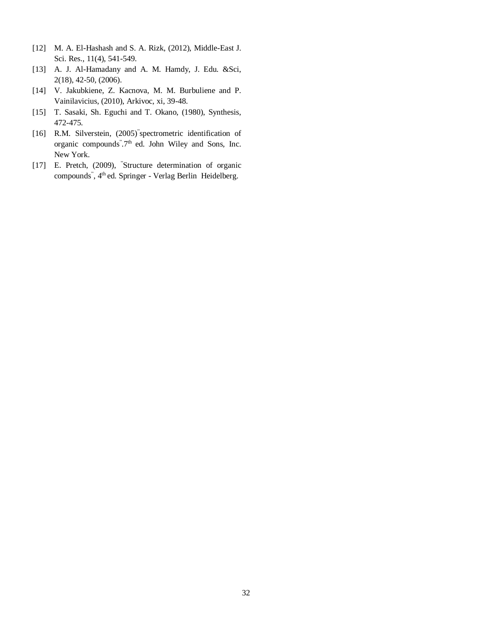- [12] M. A. El-Hashash and S. A. Rizk, (2012), Middle-East J. Sci. Res., 11(4), 541-549.
- [13] A. J. Al-Hamadany and A. M. Hamdy, J. Edu. &Sci, 2(18), 42-50, (2006).
- [14] V. Jakubkiene, Z. Kacnova, M. M. Burbuliene and P. Vainilavicius, (2010), Arkivoc, xi, 39-48.
- [15] T. Sasaki, Sh. Eguchi and T. Okano, (1980), Synthesis, 472-475.
- [16] R.M. Silverstein, (2005) spectrometric identification of organic compounds".7<sup>th</sup> ed. John Wiley and Sons, Inc. New York.
- [17] E. Pretch, (2009), "Structure determination of organic compounds<sup>"</sup>, 4<sup>th</sup> ed. Springer - Verlag Berlin Heidelberg.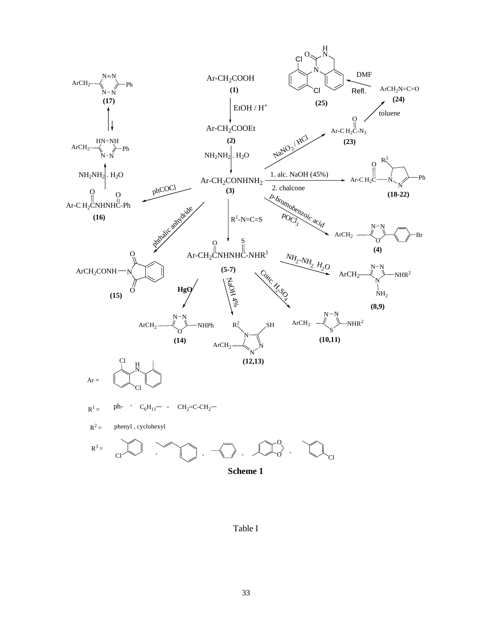

**Scheme 1**

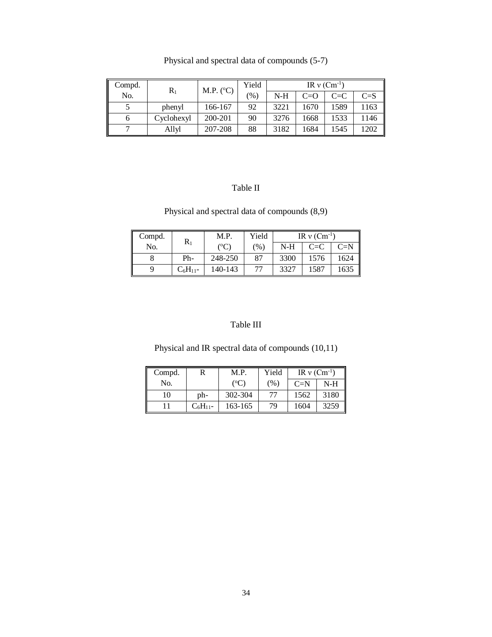| Compd. | $R_1$      | M.P. $(^{\circ}C)$ | Yield | IR $v$ (Cm <sup>-1</sup> ) |       |         |         |
|--------|------------|--------------------|-------|----------------------------|-------|---------|---------|
| No.    |            |                    | (%)   | $N-H$                      | $C=O$ | $C = C$ | $C = S$ |
|        | phenyl     | 166-167            | 92    | 3221                       | 1670  | 1589    | 1163    |
| O      | Cyclohexyl | 200-201            | 90    | 3276                       | 1668  | 1533    | 1146    |
|        | Allyl      | 207-208            | 88    | 3182                       | 1684  | 1545    | 1202    |

Physical and spectral data of compounds (5-7)

# Table II

# Physical and spectral data of compounds (8,9)

| Compd. | $R_1$         | M.P.    | Yield         | IR $v$ (Cm <sup>-1</sup> ) |         |       |
|--------|---------------|---------|---------------|----------------------------|---------|-------|
| No.    |               | (°C)    | $\frac{9}{6}$ | $N-H$                      | $C = C$ | $C=N$ |
|        | Ph-           | 248-250 | 87            | 3300                       | 1576    | 1624  |
|        | $C_6H_{11}$ - | 140-143 | 77            | 3327                       | 1587    | 1635  |

# Table III

# Physical and IR spectral data of compounds (10,11)

| Compd. |               | M.P.          | Yield | IR $v$ (Cm <sup>-1</sup> ) |       |
|--------|---------------|---------------|-------|----------------------------|-------|
| No.    |               | $(^{\circ}C)$ | (% )  | $C=N$                      | $N-H$ |
| 10     | ph-           | 302-304       | 77    | 1562                       | 3180  |
|        | $C_6H_{11}$ - | 163-165       | 79    | 1604                       | 3259  |